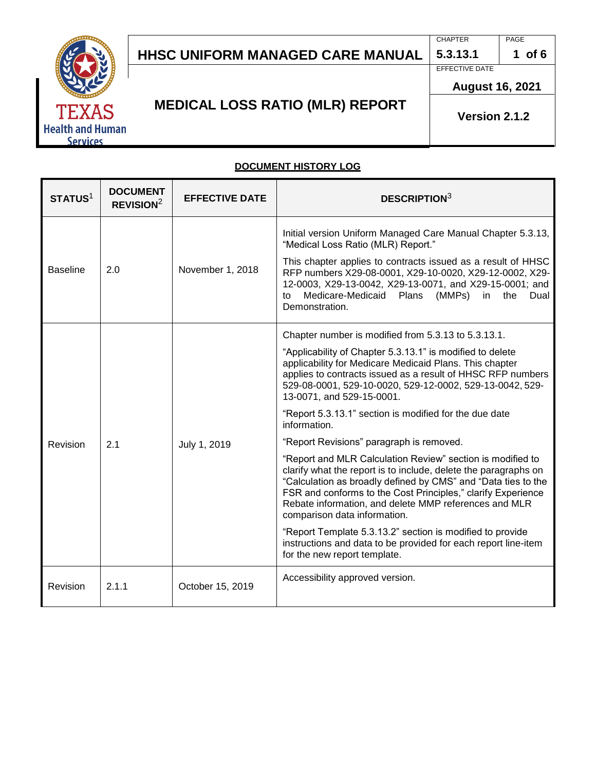# S **Health and Human Services**

# **HHSC UNIFORM MANAGED CARE MANUAL**

**CHAPTER 5.3.13.1**

EFFECTIVE DATE

PAGE **1 of 6**

**August 16, 2021**

# **MEDICAL LOSS RATIO (MLR) REPORT**

**Version 2.1.2**

## **DOCUMENT HISTORY LOG**

| STATUS <sup>1</sup> | <b>DOCUMENT</b><br>REVISION <sup>2</sup> | <b>EFFECTIVE DATE</b> | <b>DESCRIPTION3</b>                                                                                                                                                                                                                                                                                                                                     |
|---------------------|------------------------------------------|-----------------------|---------------------------------------------------------------------------------------------------------------------------------------------------------------------------------------------------------------------------------------------------------------------------------------------------------------------------------------------------------|
| <b>Baseline</b>     | 2.0                                      | November 1, 2018      | Initial version Uniform Managed Care Manual Chapter 5.3.13,<br>"Medical Loss Ratio (MLR) Report."                                                                                                                                                                                                                                                       |
|                     |                                          |                       | This chapter applies to contracts issued as a result of HHSC<br>RFP numbers X29-08-0001, X29-10-0020, X29-12-0002, X29-<br>12-0003, X29-13-0042, X29-13-0071, and X29-15-0001; and<br>Medicare-Medicaid<br>Plans<br>(MMPs)<br>in<br>the<br>to<br>Dual<br>Demonstration.                                                                                 |
| Revision            | 2.1                                      | July 1, 2019          | Chapter number is modified from 5.3.13 to 5.3.13.1.                                                                                                                                                                                                                                                                                                     |
|                     |                                          |                       | "Applicability of Chapter 5.3.13.1" is modified to delete<br>applicability for Medicare Medicaid Plans. This chapter<br>applies to contracts issued as a result of HHSC RFP numbers<br>529-08-0001, 529-10-0020, 529-12-0002, 529-13-0042, 529-<br>13-0071, and 529-15-0001.                                                                            |
|                     |                                          |                       | "Report 5.3.13.1" section is modified for the due date<br>information.                                                                                                                                                                                                                                                                                  |
|                     |                                          |                       | "Report Revisions" paragraph is removed.                                                                                                                                                                                                                                                                                                                |
|                     |                                          |                       | "Report and MLR Calculation Review" section is modified to<br>clarify what the report is to include, delete the paragraphs on<br>"Calculation as broadly defined by CMS" and "Data ties to the<br>FSR and conforms to the Cost Principles," clarify Experience<br>Rebate information, and delete MMP references and MLR<br>comparison data information. |
|                     |                                          |                       | "Report Template 5.3.13.2" section is modified to provide<br>instructions and data to be provided for each report line-item<br>for the new report template.                                                                                                                                                                                             |
| Revision            | 2.1.1                                    | October 15, 2019      | Accessibility approved version.                                                                                                                                                                                                                                                                                                                         |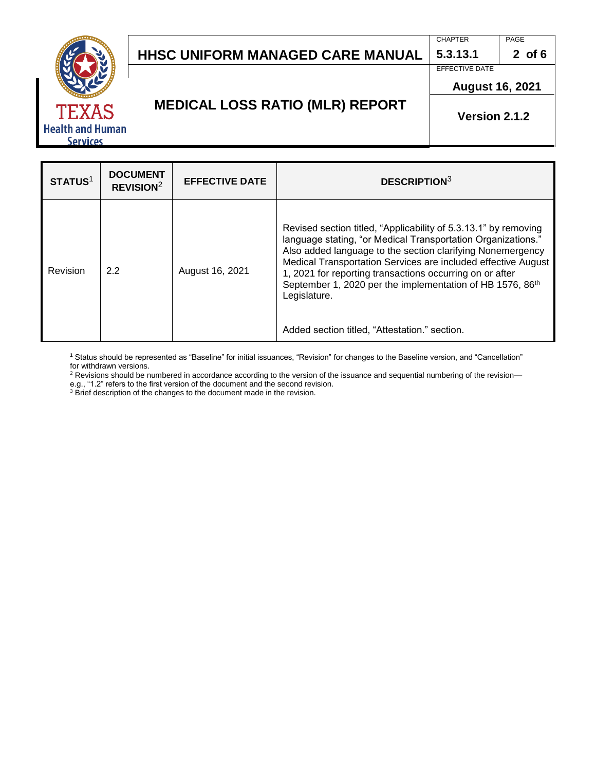CHAPTER

EFFECTIVE DATE

**5.3.13.1**



**MEDICAL LOSS RATIO (MLR) REPORT**

**August 16, 2021**

#### **Version 2.1.2**

**STATUS**<sup>1</sup> **DOCUMENT REVISION<sup>2</sup> EFFECTIVE DATE DESCRIPTION**<sup>3</sup> Revision 2.2 August 16, 2021 Revised section titled, "Applicability of 5.3.13.1" by removing language stating, "or Medical Transportation Organizations." Also added language to the section clarifying Nonemergency Medical Transportation Services are included effective August 1, 2021 for reporting transactions occurring on or after September 1, 2020 per the implementation of HB 1576, 86<sup>th</sup> Legislature. Added section titled, "Attestation." section.

**<sup>1</sup>** Status should be represented as "Baseline" for initial issuances, "Revision" for changes to the Baseline version, and "Cancellation" for withdrawn versions.

<sup>2</sup> Revisions should be numbered in accordance according to the version of the issuance and sequential numbering of the revision e.g., "1.2" refers to the first version of the document and the second revision.

 $3$  Brief description of the changes to the document made in the revision.

PAGE **2 of 6**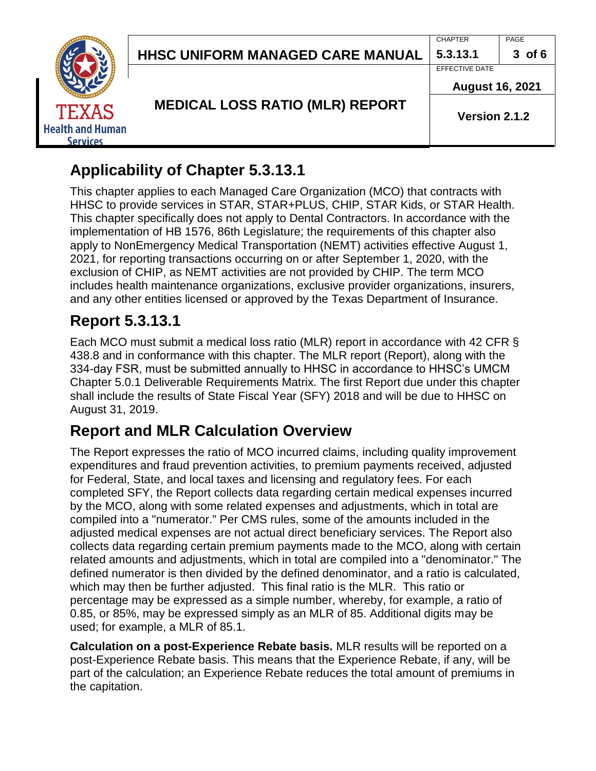**CHAPTER 5.3.13.1**

EFFECTIVE DATE



**MEDICAL LOSS RATIO (MLR) REPORT**

**August 16, 2021**

PAGE

**3 of 6**

**Version 2.1.2**

# **Applicability of Chapter 5.3.13.1**

This chapter applies to each Managed Care Organization (MCO) that contracts with HHSC to provide services in STAR, STAR+PLUS, CHIP, STAR Kids, or STAR Health. This chapter specifically does not apply to Dental Contractors. In accordance with the implementation of HB 1576, 86th Legislature; the requirements of this chapter also apply to NonEmergency Medical Transportation (NEMT) activities effective August 1, 2021, for reporting transactions occurring on or after September 1, 2020, with the exclusion of CHIP, as NEMT activities are not provided by CHIP. The term MCO includes health maintenance organizations, exclusive provider organizations, insurers, and any other entities licensed or approved by the Texas Department of Insurance.

# **Report 5.3.13.1**

Each MCO must submit a medical loss ratio (MLR) report in accordance with 42 CFR § 438.8 and in conformance with this chapter. The MLR report (Report), along with the 334-day FSR, must be submitted annually to HHSC in accordance to HHSC's UMCM Chapter 5.0.1 Deliverable Requirements Matrix. The first Report due under this chapter shall include the results of State Fiscal Year (SFY) 2018 and will be due to HHSC on August 31, 2019.

# **Report and MLR Calculation Overview**

The Report expresses the ratio of MCO incurred claims, including quality improvement expenditures and fraud prevention activities, to premium payments received, adjusted for Federal, State, and local taxes and licensing and regulatory fees. For each completed SFY, the Report collects data regarding certain medical expenses incurred by the MCO, along with some related expenses and adjustments, which in total are compiled into a "numerator." Per CMS rules, some of the amounts included in the adjusted medical expenses are not actual direct beneficiary services. The Report also collects data regarding certain premium payments made to the MCO, along with certain related amounts and adjustments, which in total are compiled into a "denominator." The defined numerator is then divided by the defined denominator, and a ratio is calculated, which may then be further adjusted. This final ratio is the MLR. This ratio or percentage may be expressed as a simple number, whereby, for example, a ratio of 0.85, or 85%, may be expressed simply as an MLR of 85. Additional digits may be used; for example, a MLR of 85.1.

**Calculation on a post-Experience Rebate basis.** MLR results will be reported on a post-Experience Rebate basis. This means that the Experience Rebate, if any, will be part of the calculation; an Experience Rebate reduces the total amount of premiums in the capitation.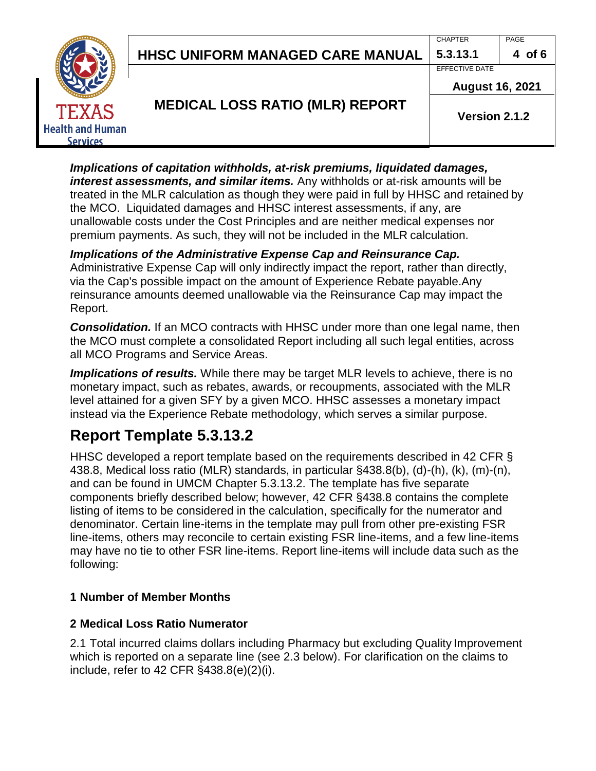#### CHAPTER **5.3.13.1**

EFFECTIVE DATE



**August 16, 2021**

## **MEDICAL LOSS RATIO (MLR) REPORT**

**Version 2.1.2**

*Implications of capitation withholds, at-risk premiums, liquidated damages, interest assessments, and similar items.* Any withholds or at-risk amounts will be treated in the MLR calculation as though they were paid in full by HHSC and retained by the MCO. Liquidated damages and HHSC interest assessments, if any, are unallowable costs under the Cost Principles and are neither medical expenses nor premium payments. As such, they will not be included in the MLR calculation.

### *Implications of the Administrative Expense Cap and Reinsurance Cap.*

Administrative Expense Cap will only indirectly impact the report, rather than directly, via the Cap's possible impact on the amount of Experience Rebate payable.Any reinsurance amounts deemed unallowable via the Reinsurance Cap may impact the Report.

**Consolidation.** If an MCO contracts with HHSC under more than one legal name, then the MCO must complete a consolidated Report including all such legal entities, across all MCO Programs and Service Areas.

*Implications of results.* While there may be target MLR levels to achieve, there is no monetary impact, such as rebates, awards, or recoupments, associated with the MLR level attained for a given SFY by a given MCO. HHSC assesses a monetary impact instead via the Experience Rebate methodology, which serves a similar purpose.

# **Report Template 5.3.13.2**

HHSC developed a report template based on the requirements described in 42 CFR § 438.8, Medical loss ratio (MLR) standards, in particular §438.8(b), (d)-(h), (k), (m)-(n), and can be found in UMCM Chapter 5.3.13.2. The template has five separate components briefly described below; however, 42 CFR §438.8 contains the complete listing of items to be considered in the calculation, specifically for the numerator and denominator. Certain line-items in the template may pull from other pre-existing FSR line-items, others may reconcile to certain existing FSR line-items, and a few line-items may have no tie to other FSR line-items. Report line-items will include data such as the following:

### **1 Number of Member Months**

### **2 Medical Loss Ratio Numerator**

2.1 Total incurred claims dollars including Pharmacy but excluding Quality Improvement which is reported on a separate line (see 2.3 below). For clarification on the claims to include, refer to 42 CFR §438.8(e)(2)(i).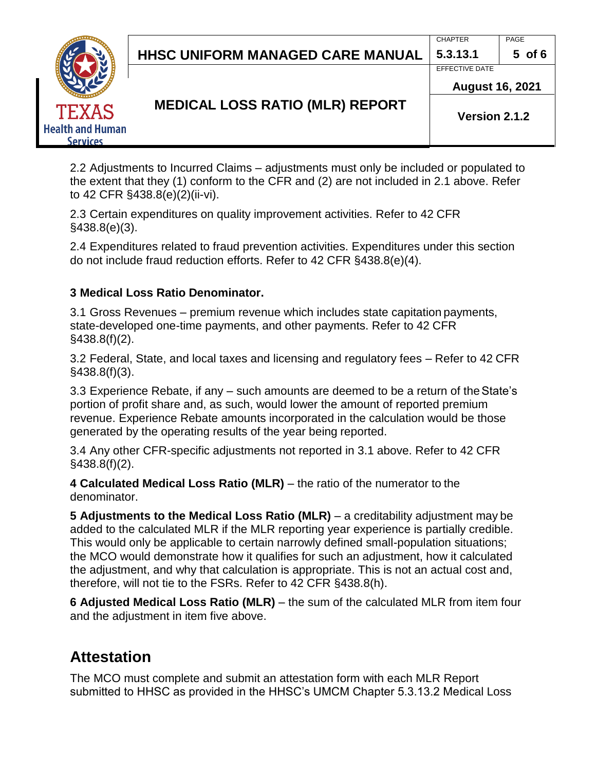CHAPTER **5.3.13.1**

EFFECTIVE DATE



**MEDICAL LOSS RATIO (MLR) REPORT**

**August 16, 2021**

**Version 2.1.2**

2.2 Adjustments to Incurred Claims – adjustments must only be included or populated to the extent that they (1) conform to the CFR and (2) are not included in 2.1 above. Refer to 42 CFR §438.8(e)(2)(ii-vi).

2.3 Certain expenditures on quality improvement activities. Refer to 42 CFR §438.8(e)(3).

2.4 Expenditures related to fraud prevention activities. Expenditures under this section do not include fraud reduction efforts. Refer to 42 CFR §438.8(e)(4).

### **3 Medical Loss Ratio Denominator.**

3.1 Gross Revenues – premium revenue which includes state capitation payments, state-developed one-time payments, and other payments. Refer to 42 CFR §438.8(f)(2).

3.2 Federal, State, and local taxes and licensing and regulatory fees – Refer to 42 CFR §438.8(f)(3).

3.3 Experience Rebate, if any – such amounts are deemed to be a return of theState's portion of profit share and, as such, would lower the amount of reported premium revenue. Experience Rebate amounts incorporated in the calculation would be those generated by the operating results of the year being reported.

3.4 Any other CFR-specific adjustments not reported in 3.1 above. Refer to 42 CFR §438.8(f)(2).

**4 Calculated Medical Loss Ratio (MLR)** – the ratio of the numerator to the denominator.

**5 Adjustments to the Medical Loss Ratio (MLR)** – a creditability adjustment may be added to the calculated MLR if the MLR reporting year experience is partially credible. This would only be applicable to certain narrowly defined small-population situations; the MCO would demonstrate how it qualifies for such an adjustment, how it calculated the adjustment, and why that calculation is appropriate. This is not an actual cost and, therefore, will not tie to the FSRs. Refer to 42 CFR §438.8(h).

**6 Adjusted Medical Loss Ratio (MLR)** – the sum of the calculated MLR from item four and the adjustment in item five above.

# **Attestation**

The MCO must complete and submit an attestation form with each MLR Report submitted to HHSC as provided in the HHSC's UMCM Chapter 5.3.13.2 Medical Loss

PAGE **5 of 6**